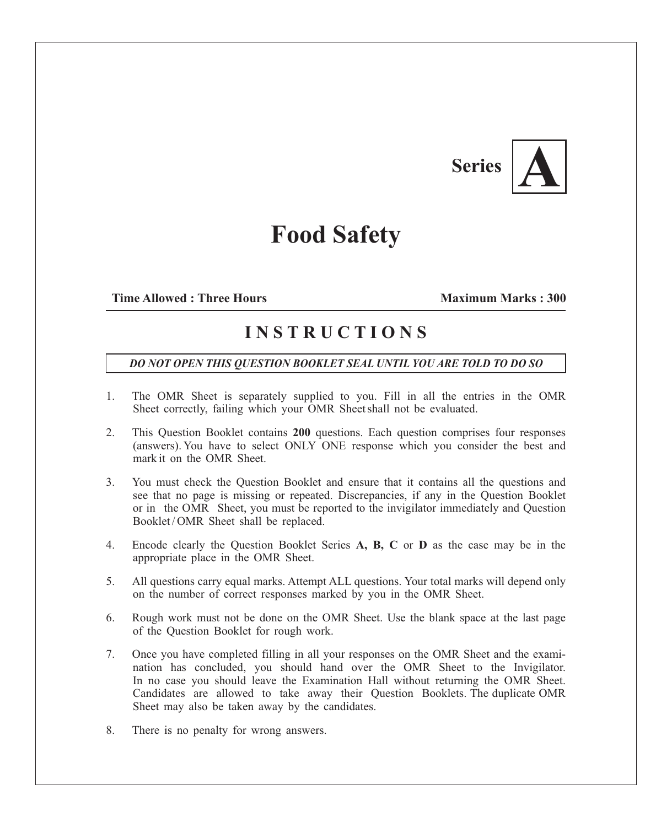## **Series** |



## **Food Safety**

## **Time Allowed : Three Hours Maximum Marks : 300**

## **I N S T R U C T I O N S**

*DO NOT OPEN THIS QUESTION BOOKLET SEAL UNTIL YOU ARE TOLD TO DO SO*

- 1. The OMR Sheet is separately supplied to you. Fill in all the entries in the OMR Sheet correctly, failing which your OMR Sheet shall not be evaluated.
- 2. This Question Booklet contains **200** questions. Each question comprises four responses (answers). You have to select ONLY ONE response which you consider the best and mark it on the OMR Sheet.
- 3. You must check the Question Booklet and ensure that it contains all the questions and see that no page is missing or repeated. Discrepancies, if any in the Question Booklet or in the OMR Sheet, you must be reported to the invigilator immediately and Question Booklet/OMR Sheet shall be replaced.
- 4. Encode clearly the Question Booklet Series **A, B, C** or **D** as the case may be in the appropriate place in the OMR Sheet.
- 5. All questions carry equal marks. Attempt ALL questions. Your total marks will depend only on the number of correct responses marked by you in the OMR Sheet.
- 6. Rough work must not be done on the OMR Sheet. Use the blank space at the last page of the Question Booklet for rough work.
- 7. Once you have completed filling in all your responses on the OMR Sheet and the examination has concluded, you should hand over the OMR Sheet to the Invigilator. In no case you should leave the Examination Hall without returning the OMR Sheet. Candidates are allowed to take away their Question Booklets. The duplicate OMR Sheet may also be taken away by the candidates.
- 8. There is no penalty for wrong answers.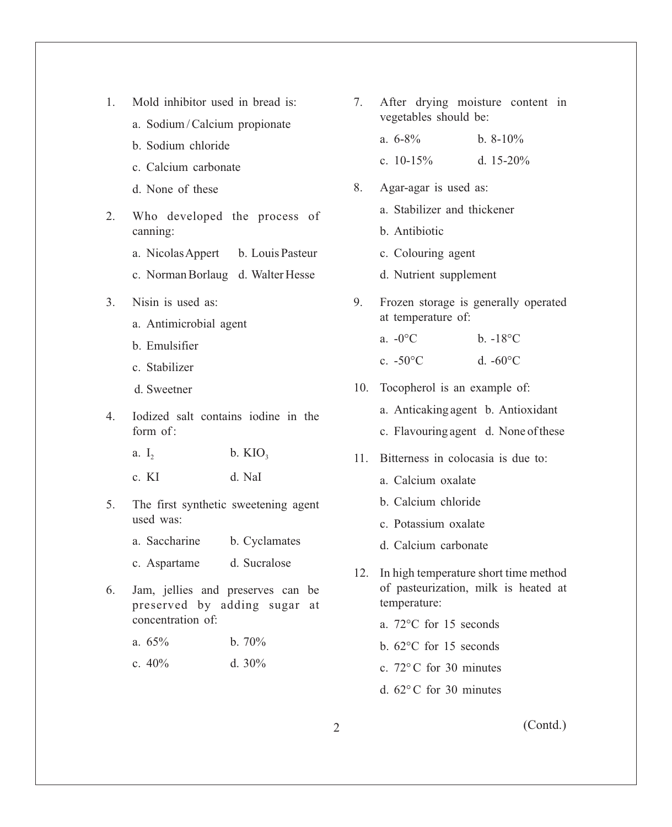- 1. Mold inhibitor used in bread is:
	- a. Sodium / Calcium propionate
	- b. Sodium chloride
	- c. Calcium carbonate
	- d. None of these
- 2. Who developed the process of canning:
	- a. Nicolas Appert b. Louis Pasteur
	- c. Norman Borlaug d. Walter Hesse
- 3. Nisin is used as:
	- a. Antimicrobial agent
	- b. Emulsifier
	- c. Stabilizer
	- d. Sweetner
- 4. Iodized salt contains iodine in the form of  $\cdot$ 
	- a. I<sub>2</sub> b. KIO<sub>3</sub>
	- c. KI d. NaI
- 5. The first synthetic sweetening agent used was:
	- a. Saccharine b. Cyclamates
	- c. Aspartame d. Sucralose
- 6. Jam, jellies and preserves can be preserved by adding sugar at concentration of:
	- a.  $65\%$  b.  $70\%$
	- c.  $40\%$  d.  $30\%$
- 7. After drying moisture content in vegetables should be:
	- a.  $6-8\%$  b.  $8-10\%$
	- c.  $10-15\%$  d.  $15-20\%$
- 8. Agar-agar is used as:
	- a. Stabilizer and thickener
	- b. Antibiotic
	- c. Colouring agent
	- d. Nutrient supplement
- 9. Frozen storage is generally operated at temperature of:
	- a.  $-0$ °C b.  $-18$ °C
	- c.  $-50^{\circ}$ C d.  $-60^{\circ}$ C
- 10. Tocopherol is an example of:
	- a. Anticaking agent b. Antioxidant
	- c. Flavouring agent d. None of these
- 11. Bitterness in colocasia is due to:
	- a. Calcium oxalate
	- b. Calcium chloride
	- c. Potassium oxalate
	- d. Calcium carbonate
- 12. In high temperature short time method of pasteurization, milk is heated at temperature:
	- a. 72°C for 15 seconds
	- b. 62°C for 15 seconds
	- c. 72° C for 30 minutes
	- d. 62° C for 30 minutes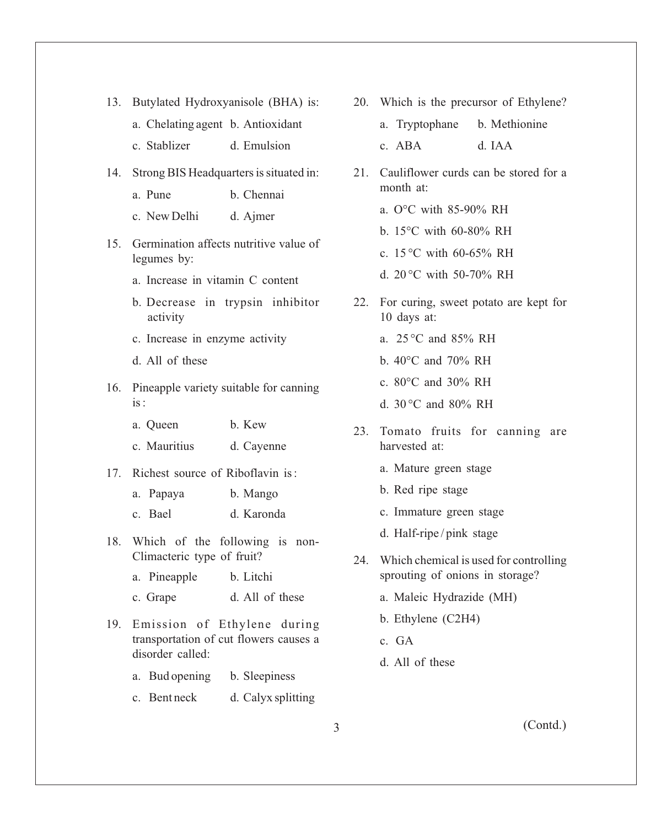- 13. Butylated Hydroxyanisole (BHA) is:
	- a. Chelating agent b. Antioxidant
	- c. Stablizer d. Emulsion
- 14. Strong BIS Headquarters is situated in:
	- a. Pune b. Chennai
	- c. New Delhi d. Ajmer
- 15. Germination affects nutritive value of legumes by:
	- a. Increase in vitamin C content
	- b. Decrease in trypsin inhibitor activity
	- c. Increase in enzyme activity
	- d. All of these
- 16. Pineapple variety suitable for canning is :
	- a. Queen b. Kew
	- c. Mauritius d. Cayenne
- 17. Richest source of Riboflavin is :
	- a. Papaya b. Mango
	- c. Bael d. Karonda
- 18. Which of the following is non-Climacteric type of fruit?
	- a. Pineapple b. Litchi
	- c. Grape d. All of these
- 19. Emission of Ethylene during transportation of cut flowers causes a disorder called:
	- a. Bud opening b. Sleepiness
	- c. Bent neck d. Calyx splitting
- 20. Which is the precursor of Ethylene?
	- a. Tryptophane b. Methionine c. ABA d. IAA
- 21. Cauliflower curds can be stored for a month at:
	- a. O°C with 85-90% RH
	- b. 15°C with 60-80% RH
	- c. 15 °C with 60-65% RH
	- d. 20 °C with 50-70% RH
- 22. For curing, sweet potato are kept for 10 days at:
	- a. 25 °C and 85% RH
	- b. 40°C and 70% RH
	- c. 80°C and 30% RH
	- d. 30 °C and 80% RH
- 23. Tomato fruits for canning are harvested at:
	- a. Mature green stage
	- b. Red ripe stage
	- c. Immature green stage
	- d. Half-ripe / pink stage
- 24. Which chemical is used for controlling sprouting of onions in storage?
	- a. Maleic Hydrazide (MH)
	- b. Ethylene (C2H4)
	- c. GA
	- d. All of these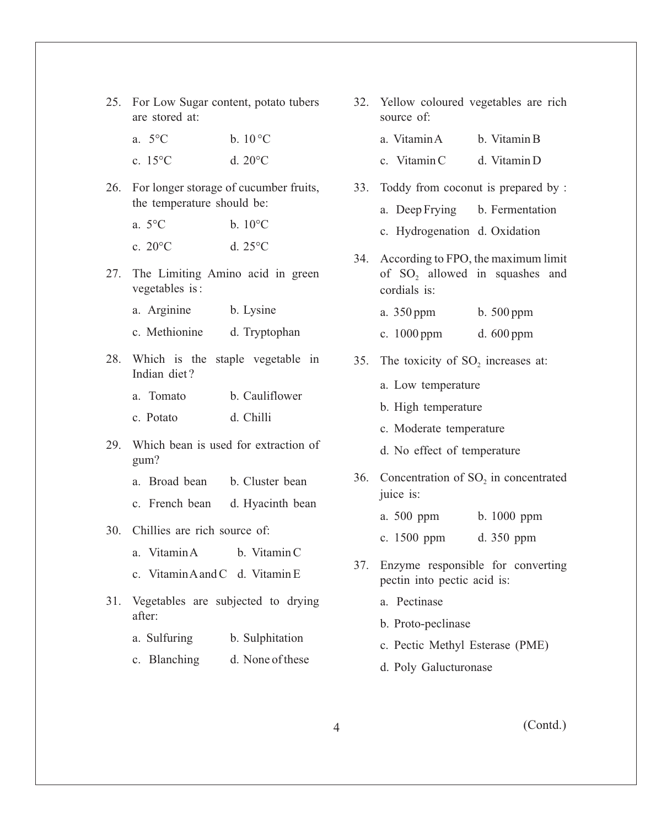- 25. For Low Sugar content, potato tubers are stored at:
	- a.  $5^{\circ}$ C b.  $10^{\circ}$ C
	- c. 15°C d. 20°C
- 26. For longer storage of cucumber fruits, the temperature should be:
	- a.  $5^{\circ}$ C b.  $10^{\circ}$ C
	- c.  $20^{\circ}$ C d.  $25^{\circ}$ C
- 27. The Limiting Amino acid in green vegetables is :
	- a. Arginine b. Lysine
	- c. Methionine d. Tryptophan
- 28. Which is the staple vegetable in Indian diet ?
	- a. Tomato b. Cauliflower
	- c. Potato d. Chilli
- 29. Which bean is used for extraction of gum?
	- a. Broad bean b. Cluster bean
	- c. French bean d. Hyacinth bean
- 30. Chillies are rich source of:
	- a. Vitamin A b. Vitamin C
	- c. Vitamin Aand C d. Vitamin E
- 31. Vegetables are subjected to drying after:
	- a. Sulfuring b. Sulphitation
	- c. Blanching d. None of these
- 32. Yellow coloured vegetables are rich source of:
	- a. Vitamin A b. Vitamin B c. Vitamin C d. Vitamin D
- 33. Toddy from coconut is prepared by :
	- a. Deep Frying b. Fermentation
	- c. Hydrogenation d. Oxidation
- 34. According to FPO, the maximum limit of  $SO_2$  allowed in squashes and cordials is:
	- a. 350 ppm b. 500 ppm
	- c. 1000 ppm d. 600 ppm
- 35. The toxicity of SO<sub>2</sub> increases at:
	- a. Low temperature
	- b. High temperature
	- c. Moderate temperature
	- d. No effect of temperature
- 36. Concentration of SO<sub>2</sub> in concentrated juice is:
	- a. 500 ppm b. 1000 ppm
	- c. 1500 ppm d. 350 ppm
- 37. Enzyme responsible for converting pectin into pectic acid is:
	- a. Pectinase
	- b. Proto-peclinase
	- c. Pectic Methyl Esterase (PME)
	- d. Poly Galucturonase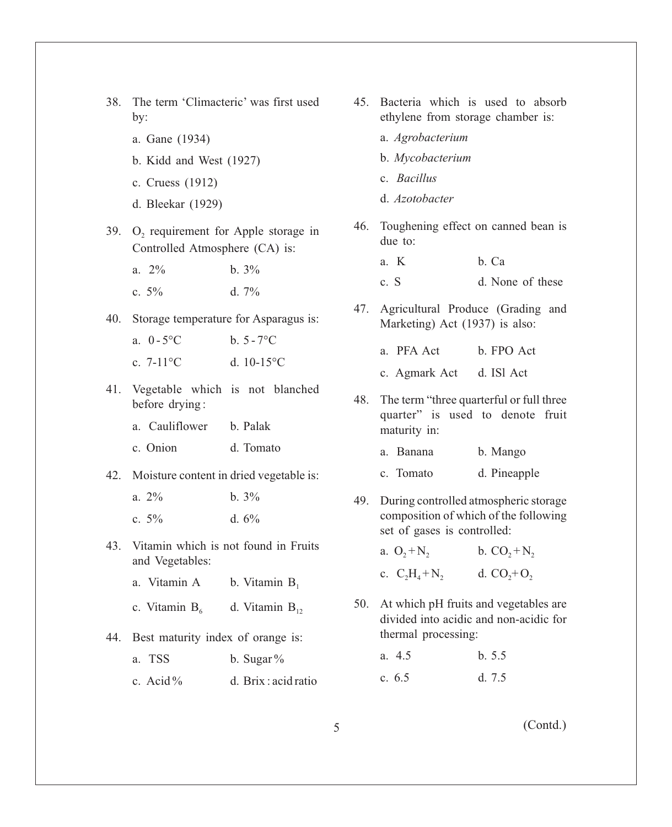- 38. The term 'Climacteric' was first used by:
	- a. Gane (1934)
	- b. Kidd and West (1927)
	- c. Cruess (1912)
	- d. Bleekar (1929)
- 39. O<sub>2</sub> requirement for Apple storage in Controlled Atmosphere (CA) is:

a.  $2\%$  b.  $3\%$ c.  $5\%$  d.  $7\%$ 

40. Storage temperature for Asparagus is:

a.  $0 - 5^{\circ}C$  b.  $5 - 7^{\circ}C$ c.  $7-11^{\circ}$ C. d.  $10-15^{\circ}$ C.

41. Vegetable which is not blanched before drying :

a. Cauliflower b. Palak

- c. Onion d. Tomato
- 42. Moisture content in dried vegetable is:

| a. $2\%$ | $b.3\%$  |
|----------|----------|
| c. $5\%$ | d. $6\%$ |

- 43. Vitamin which is not found in Fruits and Vegetables:
	- a. Vitamin A b. Vitamin  $B_1$
	- c. Vitamin  $B_6$  d. Vitamin  $B_{12}$
- 44. Best maturity index of orange is:
	- a. TSS b. Sugar  $\%$ c. Acid % d. Brix : acid ratio
- 45. Bacteria which is used to absorb ethylene from storage chamber is:
	- a. *Agrobacterium*
	- b. *Mycobacterium*
	- c. *Bacillus*
	- d. *Azotobacter*
- 46. Toughening effect on canned bean is due to:
	- a. K b. Ca c. S d. None of these
- 47. Agricultural Produce (Grading and Marketing) Act (1937) is also:
	- a. PFA Act b. FPO Act
	- c. Agmark Act d. ISl Act
- 48. The term "three quarterful or full three quarter" is used to denote fruit maturity in:
	- a. Banana b. Mango
	- c. Tomato d. Pineapple
- 49. During controlled atmospheric storage composition of which of the following set of gases is controlled:

| a. $O_2 + N_2$    | b. $CO_2 + N_2$ |
|-------------------|-----------------|
| c. $C_2H_4 + N_2$ | d. $CO_2 + O_2$ |

- 50. At which pH fruits and vegetables are divided into acidic and non-acidic for thermal processing:
	- a. 4.5 b. 5.5 c. 6.5 d. 7.5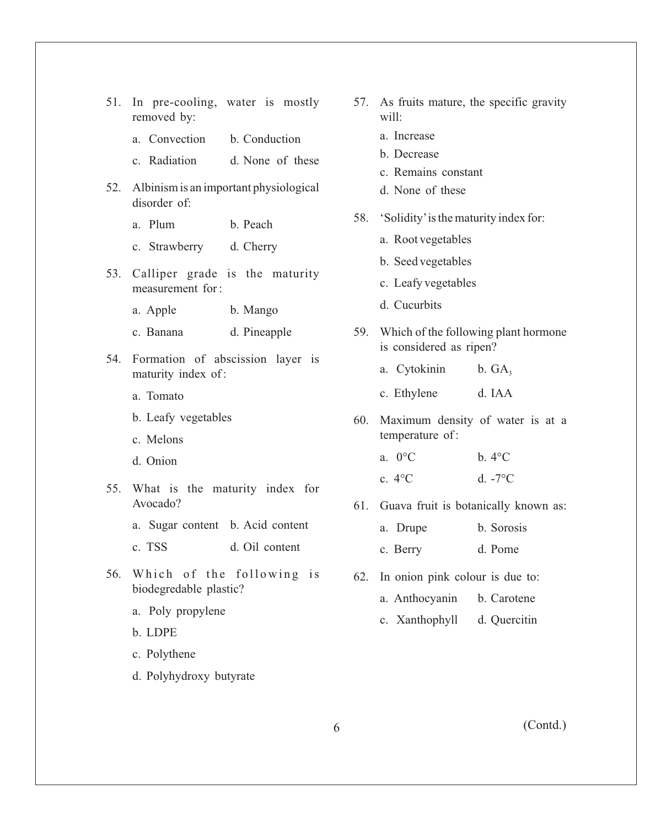|  | 51. In pre-cooling, water is mostly |  |  |
|--|-------------------------------------|--|--|
|  | removed by:                         |  |  |

- a. Convection b. Conduction
- c. Radiation d. None of these
- 52. Albinism is an important physiological disorder of:
	- a. Plum b. Peach
	- c. Strawberry d. Cherry
- 53. Calliper grade is the maturity measurement for :
	- a. Apple b. Mango
	- c. Banana d. Pineapple
- 54. Formation of abscission layer is maturity index of :
	- a. Tomato
	- b. Leafy vegetables
	- c. Melons
	- d. Onion
- 55. What is the maturity index for Avocado?
	- a. Sugar content b. Acid content
	- c. TSS d. Oil content
- 56. Which of the following is biodegredable plastic?
	- a. Poly propylene
	- b. LDPE
	- c. Polythene
	- d. Polyhydroxy butyrate
- 57. As fruits mature, the specific gravity will:
	- a. Increase
	- b. Decrease
	- c. Remains constant
	- d. None of these
- 58. 'Solidity'is the maturity index for:
	- a. Root vegetables
	- b. Seed vegetables
	- c. Leafy vegetables
	- d. Cucurbits
- 59. Which of the following plant hormone is considered as ripen?
	- a. Cytokinin b.  $GA_3$
	- c. Ethylene d. IAA
- 60. Maximum density of water is at a temperature of :
	- a.  $0^{\circ}$ C b.  $4^{\circ}$ C
	- c.  $4^{\circ}$ C d.  $-7^{\circ}$ C
- 61. Guava fruit is botanically known as:
	- a. Drupe b. Sorosis
	- c. Berry d. Pome
- 62. In onion pink colour is due to:
	- a. Anthocyanin b. Carotene
	- c. Xanthophyll d. Quercitin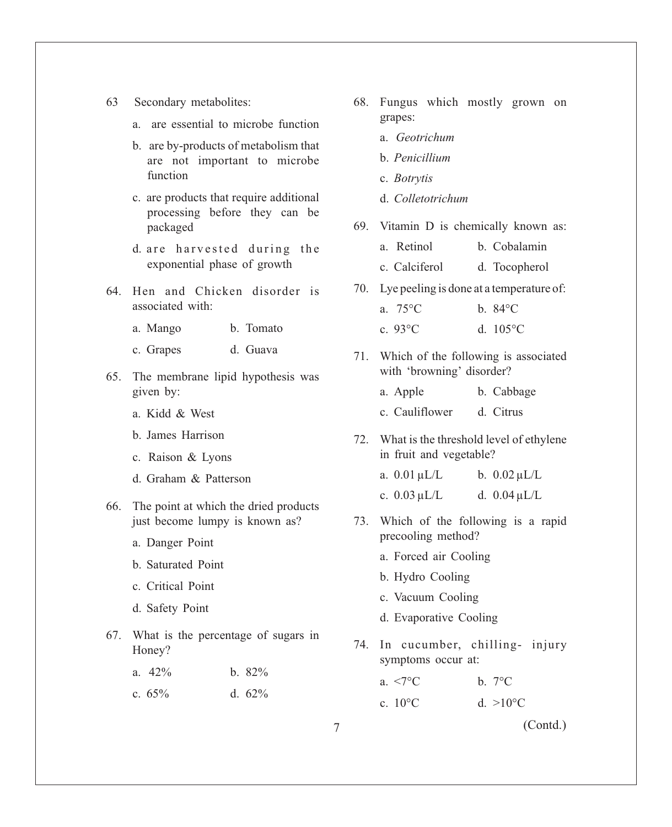- 63 Secondary metabolites:
	- a. are essential to microbe function
	- b. are by-products of metabolism that are not important to microbe function
	- c. are products that require additional processing before they can be packaged
	- d. are harvested during the exponential phase of growth
- 64. Hen and Chicken disorder is associated with:
	- a. Mango b. Tomato
	- c. Grapes d. Guava
- 65. The membrane lipid hypothesis was given by:
	- a. Kidd & West
	- b. James Harrison
	- c. Raison & Lyons
	- d. Graham & Patterson
- 66. The point at which the dried products just become lumpy is known as?
	- a. Danger Point
	- b. Saturated Point
	- c. Critical Point
	- d. Safety Point
- 67. What is the percentage of sugars in Honey?
	- a.  $42\%$  b.  $82\%$
	- c.  $65\%$  d.  $62\%$
- 68. Fungus which mostly grown on grapes:
	- a. *Geotrichum*
	- b. *Penicillium*
	- c. *Botrytis*
	- d. *Colletotrichum*
- 69. Vitamin D is chemically known as:
	- a. Retinol b. Cobalamin
	- c. Calciferol d. Tocopherol
- 70. Lye peeling is done at a temperature of:
	- a. 75°C b. 84°C c. 93°C d. 105°C
- 71. Which of the following is associated with 'browning' disorder?
	- a. Apple b. Cabbage c. Cauliflower d. Citrus
- 72. What is the threshold level of ethylene in fruit and vegetable?
	- a.  $0.01 \mu L/L$  b.  $0.02 \mu L/L$
	- c.  $0.03 \mu L/L$  d.  $0.04 \mu L/L$
- 73. Which of the following is a rapid precooling method?
	- a. Forced air Cooling
	- b. Hydro Cooling
	- c. Vacuum Cooling
	- d. Evaporative Cooling
- 74. In cucumber, chilling- injury symptoms occur at:
	- a.  $\leq 7^{\circ}$ C b.  $7^{\circ}$ C
	- c.  $10^{\circ}$ C d.  $>10^{\circ}$ C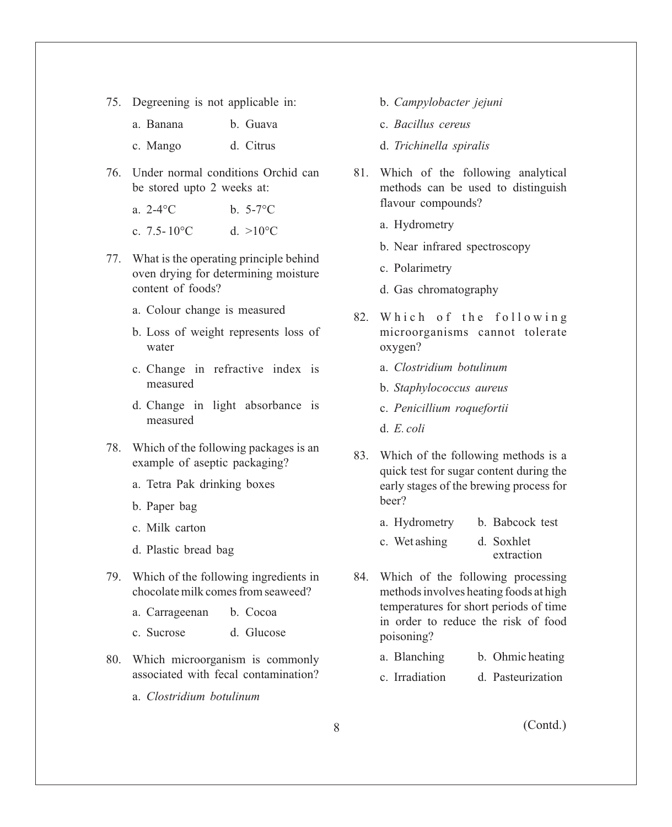75. Degreening is not applicable in:

| a. Banana | b. Guava  |
|-----------|-----------|
| c. Mango  | d. Citrus |

- 76. Under normal conditions Orchid can be stored upto 2 weeks at:
	- a.  $2-4\degree{\rm C}$  b.  $5-7\degree{\rm C}$
	- c. 7.5-10 $^{\circ}$ C d. >10 $^{\circ}$ C
- 77. What is the operating principle behind oven drying for determining moisture content of foods?
	- a. Colour change is measured
	- b. Loss of weight represents loss of water
	- c. Change in refractive index is measured
	- d. Change in light absorbance is measured
- 78. Which of the following packages is an example of aseptic packaging?
	- a. Tetra Pak drinking boxes
	- b. Paper bag
	- c. Milk carton
	- d. Plastic bread bag
- 79. Which of the following ingredients in chocolate milk comes from seaweed?
	- a. Carrageenan b. Cocoa
	- c. Sucrose d. Glucose
- 80. Which microorganism is commonly associated with fecal contamination?
	- a. *Clostridium botulinum*
- b. *Campylobacter jejuni*
- c. *Bacillus cereus*
- d. *Trichinella spiralis*
- 81. Which of the following analytical methods can be used to distinguish flavour compounds?
	- a. Hydrometry
	- b. Near infrared spectroscopy
	- c. Polarimetry
	- d. Gas chromatography
- 82. Which of the following microorganisms cannot tolerate oxygen?
	- a. *Clostridium botulinum*
	- b. *Staphylococcus aureus*
	- c. *Penicillium roquefortii*
	- d. *E. coli*
- 83. Which of the following methods is a quick test for sugar content during the early stages of the brewing process for beer?
	- a. Hydrometry b. Babcock test
	- c. Wet ashing d. Soxhlet extraction
- 84. Which of the following processing methods involves heating foods at high temperatures for short periods of time in order to reduce the risk of food poisoning?
	- a. Blanching b. Ohmic heating
	- c. Irradiation d. Pasteurization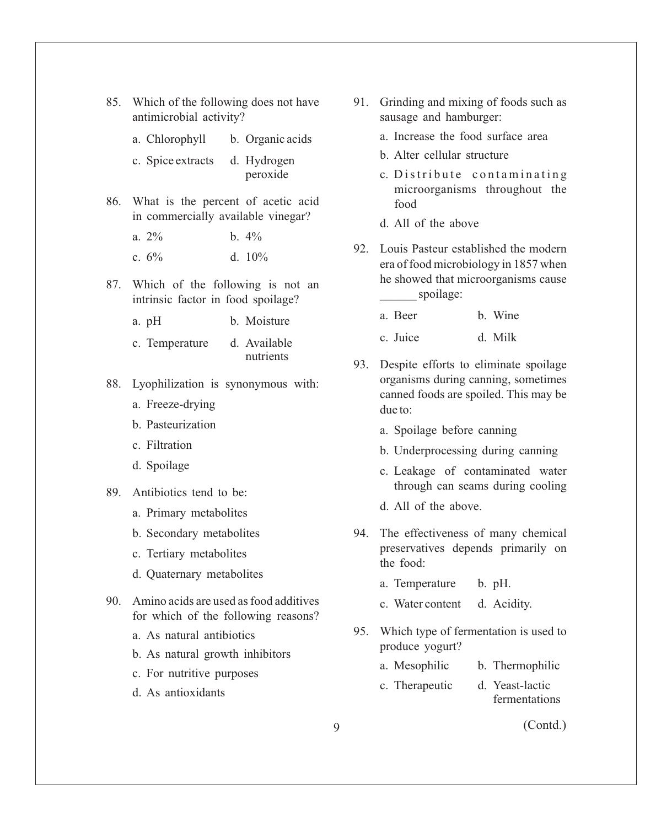| antimicrobial activity?                                                      |                  |  |
|------------------------------------------------------------------------------|------------------|--|
| a. Chlorophyll                                                               | b. Organic acids |  |
| c. Spice extracts d. Hydrogen                                                | peroxide         |  |
| 86. What is the percent of acetic acid<br>in commercially available vinegar? |                  |  |
| $a. 2\%$                                                                     | $b.4\%$          |  |
| c. $6\%$                                                                     | d. $10\%$        |  |
| 87. Which of the following is not an<br>intrinsic factor in food spoilage?   |                  |  |
| a. pH                                                                        | b. Moisture      |  |

85. Which of the following does not have

c. Temperature d. Available nutrients

- 88. Lyophilization is synonymous with:
	- a. Freeze-drying
	- b. Pasteurization
	- c. Filtration
	- d. Spoilage
- 89. Antibiotics tend to be:
	- a. Primary metabolites
	- b. Secondary metabolites
	- c. Tertiary metabolites
	- d. Quaternary metabolites
- 90. Amino acids are used as food additives for which of the following reasons?
	- a. As natural antibiotics
	- b. As natural growth inhibitors
	- c. For nutritive purposes
	- d. As antioxidants
- 91. Grinding and mixing of foods such as sausage and hamburger:
	- a. Increase the food surface area
	- b. Alter cellular structure
	- c. Distribute contaminating microorganisms throughout the food
	- d. All of the above
- 92. Louis Pasteur established the modern era of food microbiology in 1857 when he showed that microorganisms cause spoilage:
	- a. Beer b. Wine
	- c. Juice d. Milk
- 93. Despite efforts to eliminate spoilage organisms during canning, sometimes canned foods are spoiled. This may be due to:
	- a. Spoilage before canning
	- b. Underprocessing during canning
	- c. Leakage of contaminated water through can seams during cooling
	- d. All of the above.
- 94. The effectiveness of many chemical preservatives depends primarily on the food:
	- a. Temperature b. pH.
	- c. Water content d. Acidity.
- 95. Which type of fermentation is used to produce yogurt?
	- a. Mesophilic b. Thermophilic
	- c. Therapeutic d. Yeast-lactic fermentations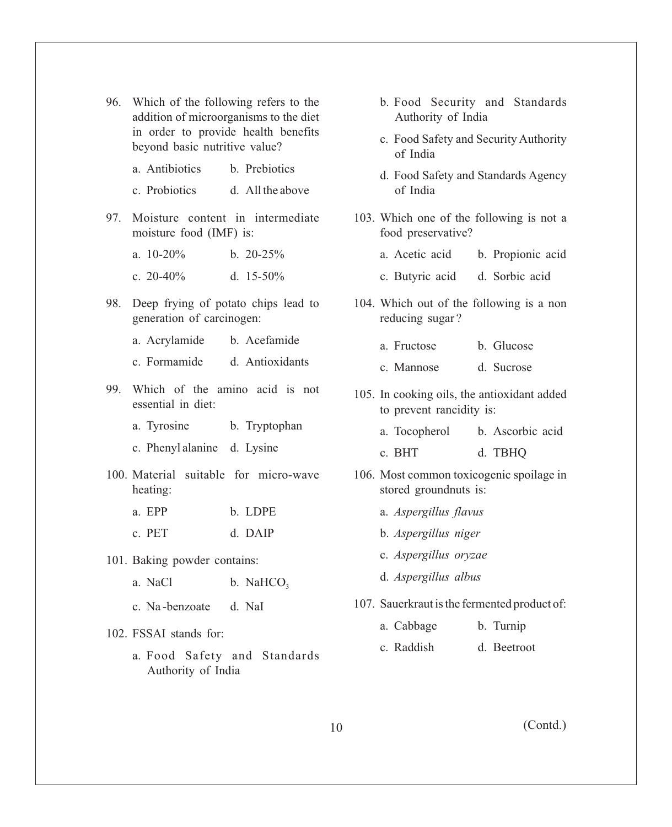- 96. Which of the following refers to the addition of microorganisms to the diet in order to provide health benefits beyond basic nutritive value?
	- a. Antibiotics b. Prebiotics
	- c. Probiotics d. All the above
- 97. Moisture content in intermediate moisture food (IMF) is:
	- a.  $10-20\%$  b.  $20-25\%$ c.  $20-40\%$  d.  $15-50\%$
- 98. Deep frying of potato chips lead to generation of carcinogen:
	- a. Acrylamide b. Acefamide
	- c. Formamide d. Antioxidants
- 99. Which of the amino acid is not essential in diet:
	- a. Tyrosine b. Tryptophan
	- c. Phenyl alanine d. Lysine
- 100. Material suitable for micro-wave heating:
	- a. EPP b. LDPE c. PET d. DAIP
- 101. Baking powder contains:
	- a. NaCl  $\qquad \qquad$  b. NaHCO<sub>3</sub>
	- c. Na -benzoate d. NaI
- 102. FSSAI stands for:
	- a. Food Safety and Standards Authority of India
- b. Food Security and Standards Authority of India
- c. Food Safety and Security Authority of India
- d. Food Safety and Standards Agency of India
- 103. Which one of the following is not a food preservative?
	- a. Acetic acid b. Propionic acid
	- c. Butyric acid d. Sorbic acid
- 104. Which out of the following is a non reducing sugar ?
	- a. Fructose b. Glucose
	- c. Mannose d. Sucrose
- 105. In cooking oils, the antioxidant added to prevent rancidity is:
	- a. Tocopherol b. Ascorbic acid
	- c. BHT d. TBHQ
- 106. Most common toxicogenic spoilage in stored groundnuts is:
	- a. *Aspergillus flavus*
	- b. *Aspergillus niger*
	- c. *Aspergillus oryzae*
	- d. *Aspergillus albus*
- 107. Sauerkraut is the fermented product of:
	- a. Cabbage b. Turnip
	- c. Raddish d. Beetroot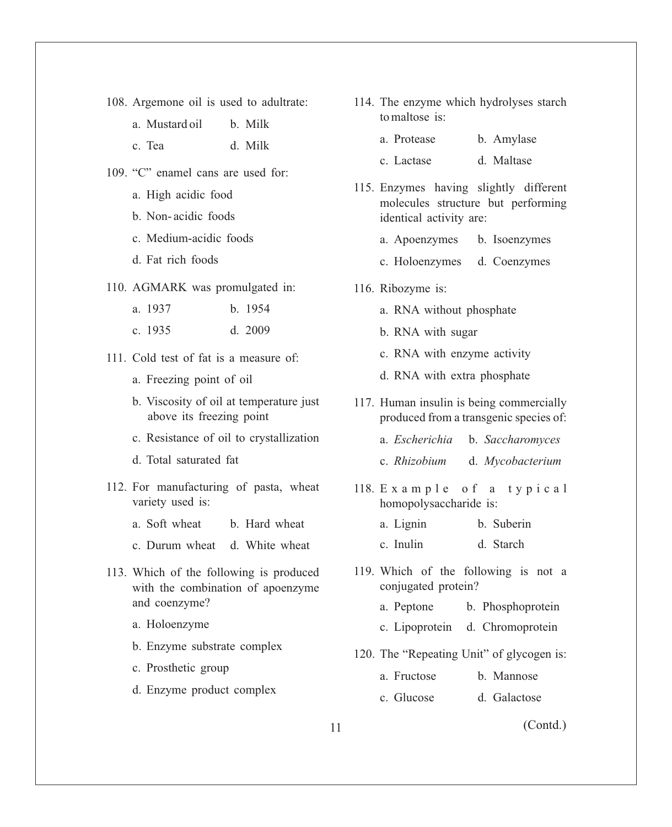- 108. Argemone oil is used to adultrate:
	- a. Mustard oil b. Milk
	- c. Tea d. Milk
- 109. "C" enamel cans are used for:
	- a. High acidic food
	- b. Non- acidic foods
	- c. Medium-acidic foods
	- d. Fat rich foods
- 110. AGMARK was promulgated in:
	- a. 1937 b. 1954
	- c. 1935 d. 2009
- 111. Cold test of fat is a measure of:
	- a. Freezing point of oil
	- b. Viscosity of oil at temperature just above its freezing point
	- c. Resistance of oil to crystallization
	- d. Total saturated fat
- 112. For manufacturing of pasta, wheat variety used is:
	- a. Soft wheat b. Hard wheat
	- c. Durum wheat d. White wheat
- 113. Which of the following is produced with the combination of apoenzyme and coenzyme?
	- a. Holoenzyme
	- b. Enzyme substrate complex
	- c. Prosthetic group
	- d. Enzyme product complex
- 114. The enzyme which hydrolyses starch to maltose is:
	- a. Protease b. Amylase
	- c. Lactase d. Maltase
- 115. Enzymes having slightly different molecules structure but performing identical activity are:
	- a. Apoenzymes b. Isoenzymes
	- c. Holoenzymes d. Coenzymes
- 116. Ribozyme is:
	- a. RNA without phosphate
	- b. RNA with sugar
	- c. RNA with enzyme activity
	- d. RNA with extra phosphate
- 117. Human insulin is being commercially produced from a transgenic species of:
	- a. *Escherichia* b. *Saccharomyces*
	- c. *Rhizobium* d. *Mycobacterium*
- 118. Example of a typical homopolysaccharide is:
	- a. Lignin b. Suberin
	- c. Inulin d. Starch
- 119. Which of the following is not a conjugated protein?
	- a. Peptone b. Phosphoprotein
	- c. Lipoprotein d. Chromoprotein
- 120. The "Repeating Unit" of glycogen is:
	- a. Fructose b. Mannose
	- c. Glucose d. Galactose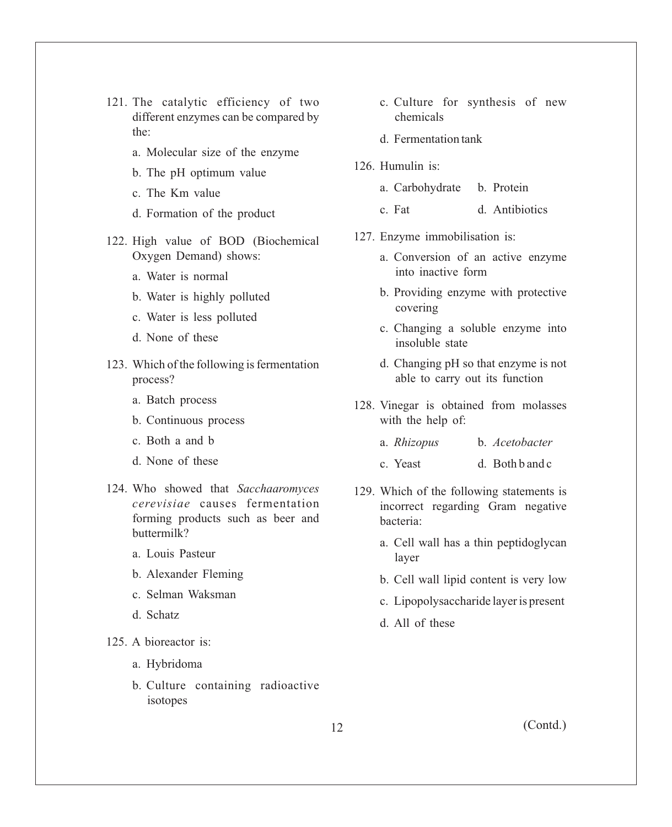- 121. The catalytic efficiency of two different enzymes can be compared by the:
	- a. Molecular size of the enzyme
	- b. The pH optimum value
	- c. The Km value
	- d. Formation of the product
- 122. High value of BOD (Biochemical Oxygen Demand) shows:
	- a. Water is normal
	- b. Water is highly polluted
	- c. Water is less polluted
	- d. None of these
- 123. Which of the following is fermentation process?
	- a. Batch process
	- b. Continuous process
	- c. Both a and b
	- d. None of these
- 124. Who showed that *Sacchaaromyces cerevisiae* causes fermentation forming products such as beer and buttermilk?
	- a. Louis Pasteur
	- b. Alexander Fleming
	- c. Selman Waksman
	- d. Schatz
- 125. A bioreactor is:
	- a. Hybridoma
	- b. Culture containing radioactive isotopes
- c. Culture for synthesis of new chemicals
- d. Fermentation tank
- 126. Humulin is:
	- a. Carbohydrate b. Protein
	- c. Fat d. Antibiotics
- 127. Enzyme immobilisation is:
	- a. Conversion of an active enzyme into inactive form
	- b. Providing enzyme with protective covering
	- c. Changing a soluble enzyme into insoluble state
	- d. Changing pH so that enzyme is not able to carry out its function
- 128. Vinegar is obtained from molasses with the help of:
	- a. *Rhizopus* b. *Acetobacter*
	- c. Yeast d. Both b and c
- 129. Which of the following statements is incorrect regarding Gram negative bacteria:
	- a. Cell wall has a thin peptidoglycan layer
	- b. Cell wall lipid content is very low
	- c. Lipopolysaccharide layer is present
	- d. All of these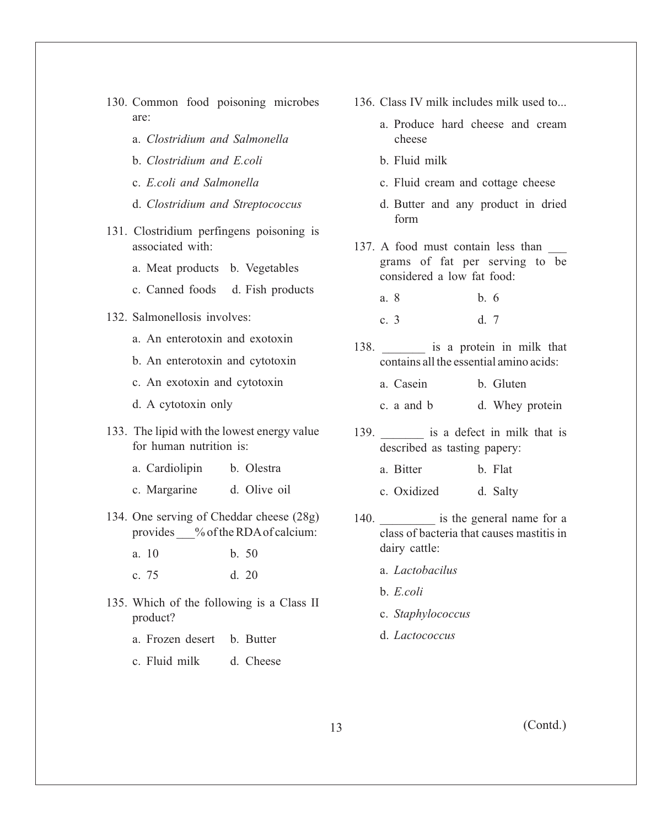- 130. Common food poisoning microbes are:
	- a. *Clostridium and Salmonella*
	- b. *Clostridium and E.coli*
	- c. *E.coli and Salmonella*
	- d. *Clostridium and Streptococcus*
- 131. Clostridium perfingens poisoning is associated with:
	- a. Meat products b. Vegetables
	- c. Canned foods d. Fish products
- 132. Salmonellosis involves:
	- a. An enterotoxin and exotoxin
	- b. An enterotoxin and cytotoxin
	- c. An exotoxin and cytotoxin
	- d. A cytotoxin only
- 133. The lipid with the lowest energy value for human nutrition is:
	- a. Cardiolipin b. Olestra
	- c. Margarine d. Olive oil
- 134. One serving of Cheddar cheese (28g) provides % of the RDA of calcium:
	- a. 10 b. 50
	- c. 75 d. 20
- 135. Which of the following is a Class II product?
	- a. Frozen desert b. Butter
	- c. Fluid milk d. Cheese
- 136. Class IV milk includes milk used to...
	- a. Produce hard cheese and cream cheese
	- b. Fluid milk
	- c. Fluid cream and cottage cheese
	- d. Butter and any product in dried form
- 137. A food must contain less than \_\_\_ grams of fat per serving to be considered a low fat food:
	- a. 8 b. 6
	- c. 3 d. 7
- 138. **Let us is a protein in milk that** contains all the essential amino acids:
	- a. Casein b. Gluten
	- c. a and b d. Whey protein
- 139. **is a defect in milk that is** described as tasting papery:
	- a. Bitter b. Flat
	- c. Oxidized d. Salty
- 140. **a** is the general name for a class of bacteria that causes mastitis in dairy cattle:
	- a. *Lactobacilus*
	- b. *E.coli*
	- c. *Staphylococcus*
	- d. *Lactococcus*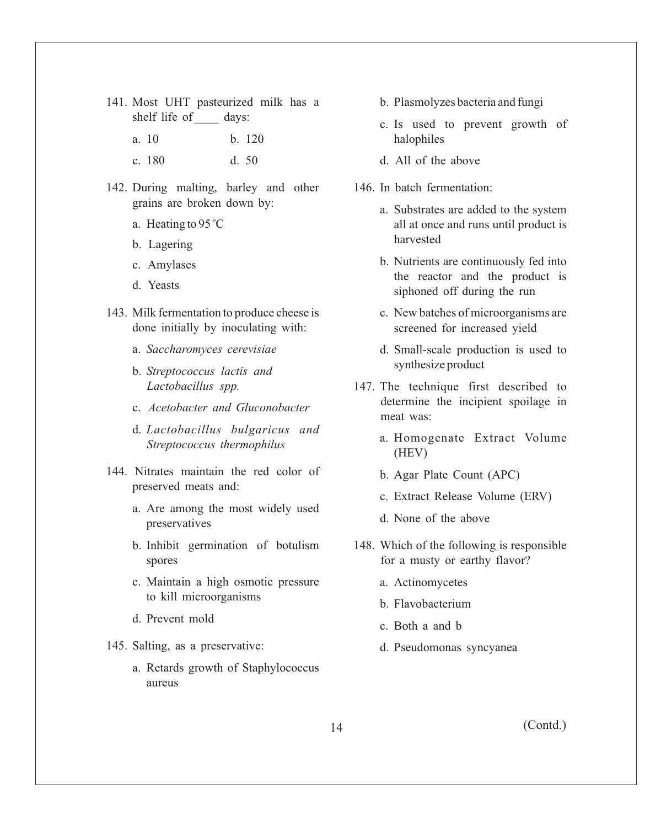- 141. Most UHT pasteurized milk has a shelf life of days:
	- a. 10 b. 120
	- c. 180 d. 50
- 142. During malting, barley and other grains are broken down by:
	- a. Heating to 95 °C
	- b. Lagering
	- c. Amylases
	- d. Yeasts
- 143. Milk fermentation to produce cheese is done initially by inoculating with:
	- a. *Saccharomyces cerevisiae*
	- b. *Streptococcus lactis and Lactobacillus spp.*
	- c. *Acetobacter and Gluconobacter*
	- d. *Lactobacillus bulgaricus and Streptococcus thermophilus*
- 144. Nitrates maintain the red color of preserved meats and:
	- a. Are among the most widely used preservatives
	- b. Inhibit germination of botulism spores
	- c. Maintain a high osmotic pressure to kill microorganisms
	- d. Prevent mold
- 145. Salting, as a preservative:
	- a. Retards growth of Staphylococcus aureus
- b. Plasmolyzes bacteria and fungi
- c. Is used to prevent growth of halophiles
- d. All of the above
- 146. In batch fermentation:
	- a. Substrates are added to the system all at once and runs until product is harvested
	- b. Nutrients are continuously fed into the reactor and the product is siphoned off during the run
	- c. New batches of microorganisms are screened for increased yield
	- d. Small-scale production is used to synthesize product
- 147. The technique first described to determine the incipient spoilage in meat was:
	- a. Homogenate Extract Volume (HEV)
	- b. Agar Plate Count (APC)
	- c. Extract Release Volume (ERV)
	- d. None of the above
- 148. Which of the following is responsible for a musty or earthy flavor?
	- a. Actinomycetes
	- b. Flavobacterium
	- c. Both a and b
	- d. Pseudomonas syncyanea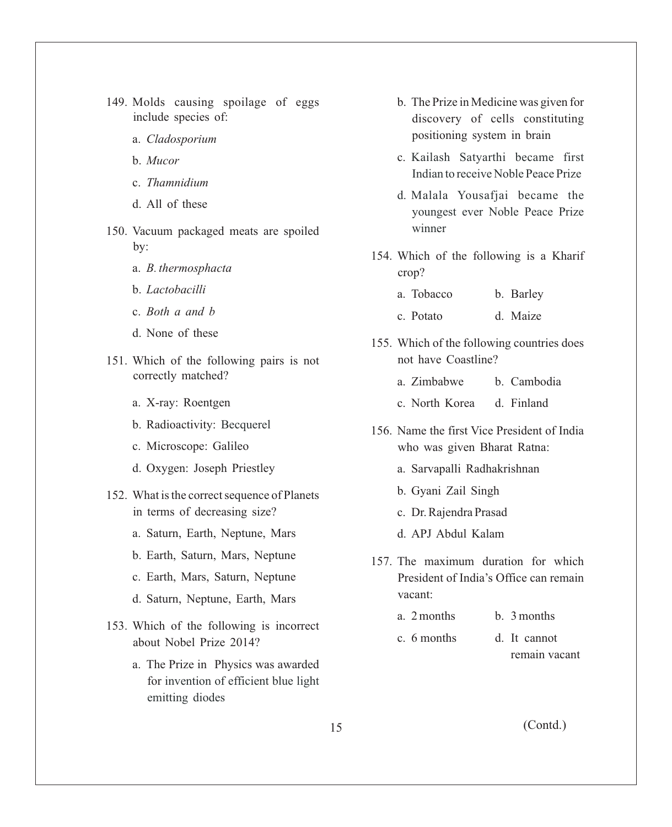- 149. Molds causing spoilage of eggs include species of:
	- a. *Cladosporium*
	- b. *Mucor*
	- c. *Thamnidium*
	- d. All of these
- 150. Vacuum packaged meats are spoiled by:
	- a. *B. thermosphacta*
	- b. *Lactobacilli*
	- c. *Both a and b*
	- d. None of these
- 151. Which of the following pairs is not correctly matched?
	- a. X-ray: Roentgen
	- b. Radioactivity: Becquerel
	- c. Microscope: Galileo
	- d. Oxygen: Joseph Priestley
- 152. What is the correct sequence of Planets in terms of decreasing size?
	- a. Saturn, Earth, Neptune, Mars
	- b. Earth, Saturn, Mars, Neptune
	- c. Earth, Mars, Saturn, Neptune
	- d. Saturn, Neptune, Earth, Mars
- 153. Which of the following is incorrect about Nobel Prize 2014?
	- a. The Prize in Physics was awarded for invention of efficient blue light emitting diodes
- b. The Prize in Medicine was given for discovery of cells constituting positioning system in brain
- c. Kailash Satyarthi became first Indian to receive Noble Peace Prize
- d. Malala Yousafjai became the youngest ever Noble Peace Prize winner
- 154. Which of the following is a Kharif crop?
	- a. Tobacco b. Barley
	- c. Potato d. Maize
- 155. Which of the following countries does not have Coastline?
	- a. Zimbabwe b. Cambodia
	- c. North Korea d. Finland
- 156. Name the first Vice President of India who was given Bharat Ratna:
	- a. Sarvapalli Radhakrishnan
	- b. Gyani Zail Singh
	- c. Dr. Rajendra Prasad
	- d. APJ Abdul Kalam
- 157. The maximum duration for which President of India's Office can remain vacant:
	- a. 2 months b. 3 months
	- c. 6 months d. It cannot remain vacant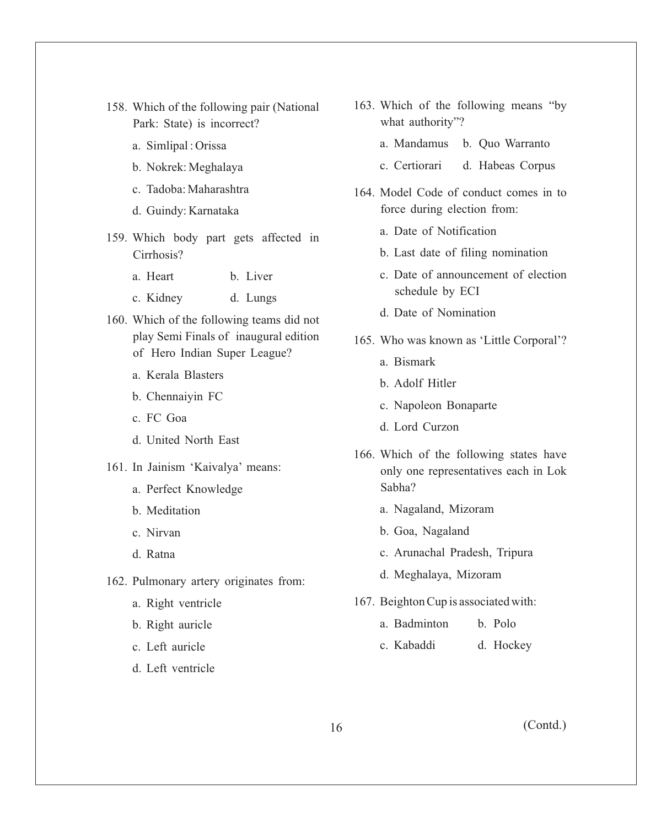- 158. Which of the following pair (National Park: State) is incorrect?
	- a. Simlipal : Orissa
	- b. Nokrek: Meghalaya
	- c. Tadoba: Maharashtra
	- d. Guindy: Karnataka
- 159. Which body part gets affected in Cirrhosis?
	- a. Heart b. Liver
	- c. Kidney d. Lungs
- 160. Which of the following teams did not play Semi Finals of inaugural edition of Hero Indian Super League?
	- a. Kerala Blasters
	- b. Chennaiyin FC
	- c. FC Goa
	- d. United North East
- 161. In Jainism 'Kaivalya' means:
	- a. Perfect Knowledge
	- b. Meditation
	- c. Nirvan
	- d. Ratna
- 162. Pulmonary artery originates from:
	- a. Right ventricle
	- b. Right auricle
	- c. Left auricle
	- d. Left ventricle
- 163. Which of the following means "by what authority"?
	- a. Mandamus b. Quo Warranto
	- c. Certiorari d. Habeas Corpus
- 164. Model Code of conduct comes in to force during election from:
	- a. Date of Notification
	- b. Last date of filing nomination
	- c. Date of announcement of election schedule by ECI
	- d. Date of Nomination
- 165. Who was known as 'Little Corporal'?
	- a. Bismark
	- b. Adolf Hitler
	- c. Napoleon Bonaparte
	- d. Lord Curzon
- 166. Which of the following states have only one representatives each in Lok Sabha?
	- a. Nagaland, Mizoram
	- b. Goa, Nagaland
	- c. Arunachal Pradesh, Tripura
	- d. Meghalaya, Mizoram
- 167. Beighton Cup is associated with:
	- a. Badminton b. Polo
	- c. Kabaddi d. Hockey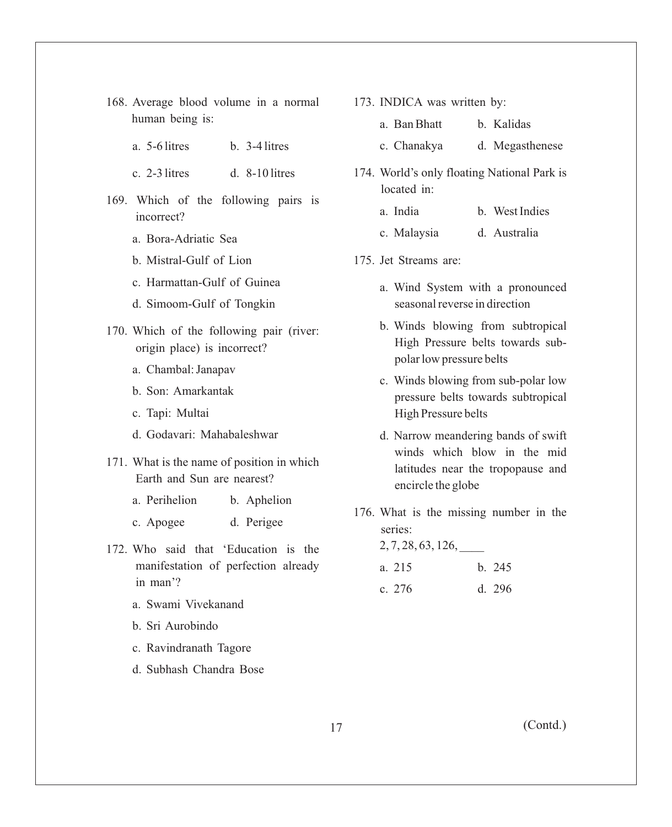- 168. Average blood volume in a normal human being is:
	- a. 5-6 litres b. 3-4 litres
	- c. 2-3 litres d. 8-10 litres
- 169. Which of the following pairs is incorrect?
	- a. Bora-Adriatic Sea
	- b. Mistral-Gulf of Lion
	- c. Harmattan-Gulf of Guinea
	- d. Simoom-Gulf of Tongkin
- 170. Which of the following pair (river: origin place) is incorrect?
	- a. Chambal: Janapav
	- b. Son: Amarkantak
	- c. Tapi: Multai
	- d. Godavari: Mahabaleshwar
- 171. What is the name of position in which Earth and Sun are nearest?
	- a. Perihelion b. Aphelion
	- c. Apogee d. Perigee
- 172. Who said that 'Education is the manifestation of perfection already in man'?
	- a. Swami Vivekanand
	- b. Sri Aurobindo
	- c. Ravindranath Tagore
	- d. Subhash Chandra Bose

173. INDICA was written by:

| a. Ban Bhatt | b. Kalidas |
|--------------|------------|
|              |            |

- c. Chanakya d. Megasthenese
- 174. World's only floating National Park is located in:
	- a. India b. West Indies
	- c. Malaysia d. Australia
- 175. Jet Streams are:
	- a. Wind System with a pronounced seasonal reverse in direction
	- b. Winds blowing from subtropical High Pressure belts towards subpolar low pressure belts
	- c. Winds blowing from sub-polar low pressure belts towards subtropical High Pressure belts
	- d. Narrow meandering bands of swift winds which blow in the mid latitudes near the tropopause and encircle the globe
- 176. What is the missing number in the series:

2, 7, 28, 63, 126, \_\_\_\_

| a. 215 | b. 245 |
|--------|--------|
| c. 276 | d. 296 |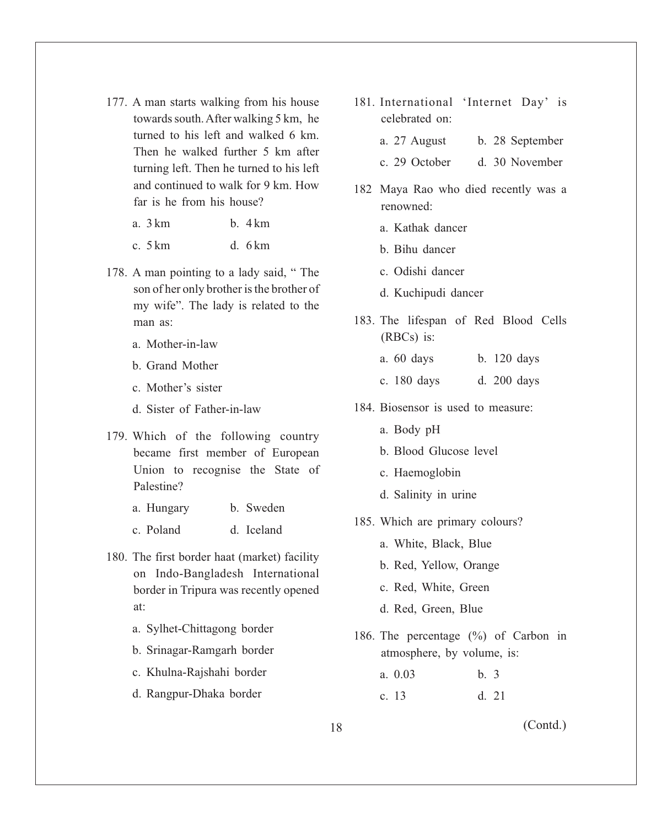177. A man starts walking from his house towards south. After walking 5 km, he turned to his left and walked 6 km. Then he walked further 5 km after turning left. Then he turned to his left and continued to walk for 9 km. How far is he from his house?

| b.4km<br>a. 3 km |
|------------------|
|------------------|

c. 5 km d. 6 km

- 178. A man pointing to a lady said, " The son of her only brother is the brother of my wife". The lady is related to the man as:
	- a. Mother-in-law
	- b. Grand Mother
	- c. Mother's sister
	- d. Sister of Father-in-law
- 179. Which of the following country became first member of European Union to recognise the State of Palestine?
	- a. Hungary b. Sweden
	- c. Poland d. Iceland
- 180. The first border haat (market) facility on Indo-Bangladesh International border in Tripura was recently opened at:
	- a. Sylhet-Chittagong border
	- b. Srinagar-Ramgarh border
	- c. Khulna-Rajshahi border
	- d. Rangpur-Dhaka border
- 181. International 'Internet Day' is celebrated on:
	- a. 27 August b. 28 September
	- c. 29 October d. 30 November
- 182 Maya Rao who died recently was a renowned:
	- a. Kathak dancer
	- b. Bihu dancer
	- c. Odishi dancer
	- d. Kuchipudi dancer
- 183. The lifespan of Red Blood Cells (RBCs) is:
	- a. 60 days b. 120 days
	- c. 180 days d. 200 days
- 184. Biosensor is used to measure:
	- a. Body pH
	- b. Blood Glucose level
	- c. Haemoglobin
	- d. Salinity in urine
- 185. Which are primary colours?
	- a. White, Black, Blue
	- b. Red, Yellow, Orange
	- c. Red, White, Green
	- d. Red, Green, Blue
- 186. The percentage (%) of Carbon in atmosphere, by volume, is:

| a. $0.03$ | b.3 |       |
|-----------|-----|-------|
| c. 13     |     | d. 21 |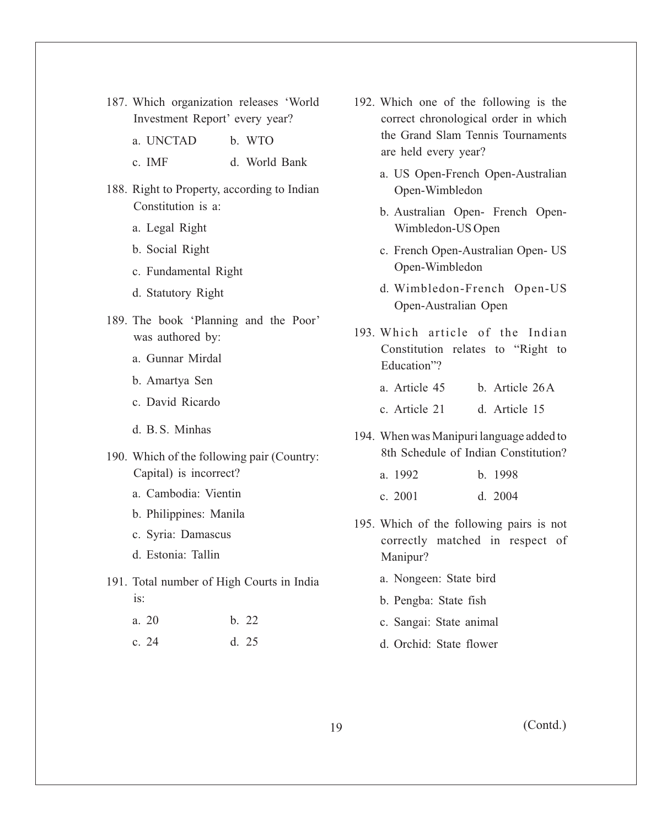- 187. Which organization releases 'World Investment Report' every year?
	- a. UNCTAD b. WTO
	- c. IMF d. World Bank
- 188. Right to Property, according to Indian Constitution is a:
	- a. Legal Right
	- b. Social Right
	- c. Fundamental Right
	- d. Statutory Right
- 189. The book 'Planning and the Poor' was authored by:
	- a. Gunnar Mirdal
	- b. Amartya Sen
	- c. David Ricardo
	- d. B. S. Minhas
- 190. Which of the following pair (Country: Capital) is incorrect?
	- a. Cambodia: Vientin
	- b. Philippines: Manila
	- c. Syria: Damascus
	- d. Estonia: Tallin
- 191. Total number of High Courts in India is:
	- a. 20 b. 22
	- c. 24 d. 25
- 192. Which one of the following is the correct chronological order in which the Grand Slam Tennis Tournaments are held every year?
	- a. US Open-French Open-Australian Open-Wimbledon
	- b. Australian Open- French Open-Wimbledon-US Open
	- c. French Open-Australian Open- US Open-Wimbledon
	- d. Wimbledon-French Open-US Open-Australian Open
- 193. Which article of the Indian Constitution relates to "Right to Education"?
	- a. Article 45 b. Article 26 A
	- c. Article 21 d. Article 15
- 194. When was Manipuri language added to 8th Schedule of Indian Constitution?
	- a. 1992 b. 1998
	- c. 2001 d. 2004
- 195. Which of the following pairs is not correctly matched in respect of Manipur?
	- a. Nongeen: State bird
	- b. Pengba: State fish
	- c. Sangai: State animal
	- d. Orchid: State flower